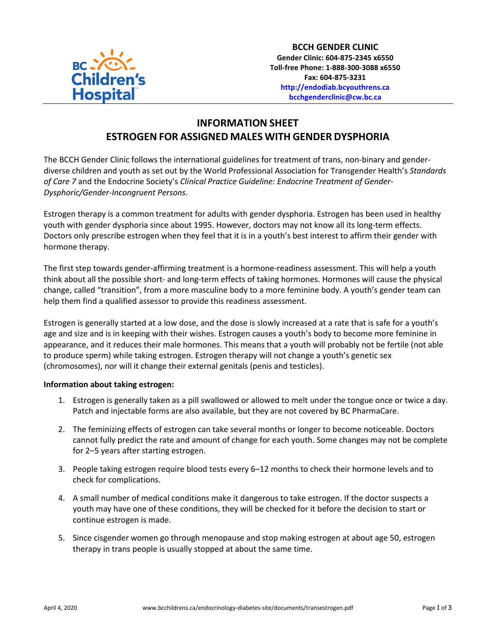

## **INFORMATION SHEET ESTROGEN FOR ASSIGNED MALES WITH GENDER DYSPHORIA**

The BCCH Gender Clinic follows the international guidelines for treatment of trans, non-binary and genderdiverse children and youth as set out by the World Professional Association for Transgender Health's *Standards of Care 7* and the Endocrine Society's *Clinical Practice Guideline: Endocrine Treatment of Gender-Dysphoric/Gender-Incongruent Persons*.

Estrogen therapy is a common treatment for adults with gender dysphoria. Estrogen has been used in healthy youth with gender dysphoria since about 1995. However, doctors may not know all its long-term effects. Doctors only prescribe estrogen when they feel that it is in a youth's best interest to affirm their gender with hormone therapy.

The first step towards gender-affirming treatment is a hormone-readiness assessment. This will help a youth think about all the possible short- and long-term effects of taking hormones. Hormones will cause the physical change, called "transition", from a more masculine body to a more feminine body. A youth's gender team can help them find a qualified assessor to provide this readiness assessment.

Estrogen is generally started at a low dose, and the dose is slowly increased at a rate that is safe for a youth's age and size and is in keeping with their wishes. Estrogen causes a youth's body to become more feminine in appearance, and it reduces their male hormones. This means that a youth will probably not be fertile (not able to produce sperm) while taking estrogen. Estrogen therapy will not change a youth's genetic sex (chromosomes), nor will it change their external genitals (penis and testicles).

## **Information about taking estrogen:**

- 1. Estrogen is generally taken as a pill swallowed or allowed to melt under the tongue once or twice a day. Patch and injectable forms are also available, but they are not covered by BC PharmaCare.
- 2. The feminizing effects of estrogen can take several months or longer to become noticeable. Doctors cannot fully predict the rate and amount of change for each youth. Some changes may not be complete for 2–5 years after starting estrogen.
- 3. People taking estrogen require blood tests every 6–12 months to check their hormone levels and to check for complications.
- 4. A small number of medical conditions make it dangerous to take estrogen. If the doctor suspects a youth may have one of these conditions, they will be checked for it before the decision to start or continue estrogen is made.
- 5. Since cisgender women go through menopause and stop making estrogen at about age 50, estrogen therapy in trans people is usually stopped at about the same time.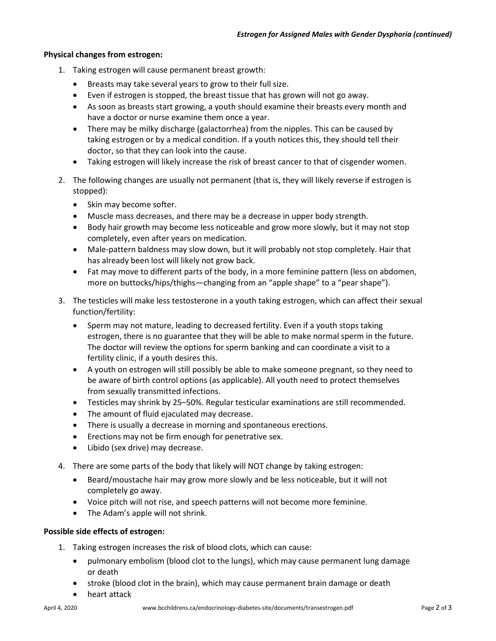## **Physical changes from estrogen:**

- 1. Taking estrogen will cause permanent breast growth:
	- Breasts may take several years to grow to their full size.
	- Even if estrogen is stopped, the breast tissue that has grown will not go away.
	- As soon as breasts start growing, a youth should examine their breasts every month and have a doctor or nurse examine them once a year.
	- There may be milky discharge (galactorrhea) from the nipples. This can be caused by taking estrogen or by a medical condition. If a youth notices this, they should tell their doctor, so that they can look into the cause.
	- Taking estrogen will likely increase the risk of breast cancer to that of cisgender women.
- 2. The following changes are usually not permanent (that is, they will likely reverse if estrogen is stopped):
	- Skin may become softer.
	- Muscle mass decreases, and there may be a decrease in upper body strength.
	- Body hair growth may become less noticeable and grow more slowly, but it may not stop completely, even after years on medication.
	- Male-pattern baldness may slow down, but it will probably not stop completely. Hair that has already been lost will likely not grow back.
	- Fat may move to different parts of the body, in a more feminine pattern (less on abdomen, more on buttocks/hips/thighs—changing from an "apple shape" to a "pear shape").
- 3. The testicles will make less testosterone in a youth taking estrogen, which can affect their sexual function/fertility:
	- Sperm may not mature, leading to decreased fertility. Even if a youth stops taking estrogen, there is no guarantee that they will be able to make normal sperm in the future. The doctor will review the options for sperm banking and can coordinate a visit to a fertility clinic, if a youth desires this.
	- A youth on estrogen will still possibly be able to make someone pregnant, so they need to be aware of birth control options (as applicable). All youth need to protect themselves from sexually transmitted infections.
	- Testicles may shrink by 25–50%. Regular testicular examinations are still recommended.
	- The amount of fluid ejaculated may decrease.
	- There is usually a decrease in morning and spontaneous erections.
	- Erections may not be firm enough for penetrative sex.
	- Libido (sex drive) may decrease.
- 4. There are some parts of the body that likely will NOT change by taking estrogen:
	- Beard/moustache hair may grow more slowly and be less noticeable, but it will not completely go away.
	- Voice pitch will not rise, and speech patterns will not become more feminine.
	- The Adam's apple will not shrink.

## **Possible side effects of estrogen:**

- 1. Taking estrogen increases the risk of blood clots, which can cause:
	- pulmonary embolism (blood clot to the lungs), which may cause permanent lung damage or death
	- stroke (blood clot in the brain), which may cause permanent brain damage or death
	- heart attack